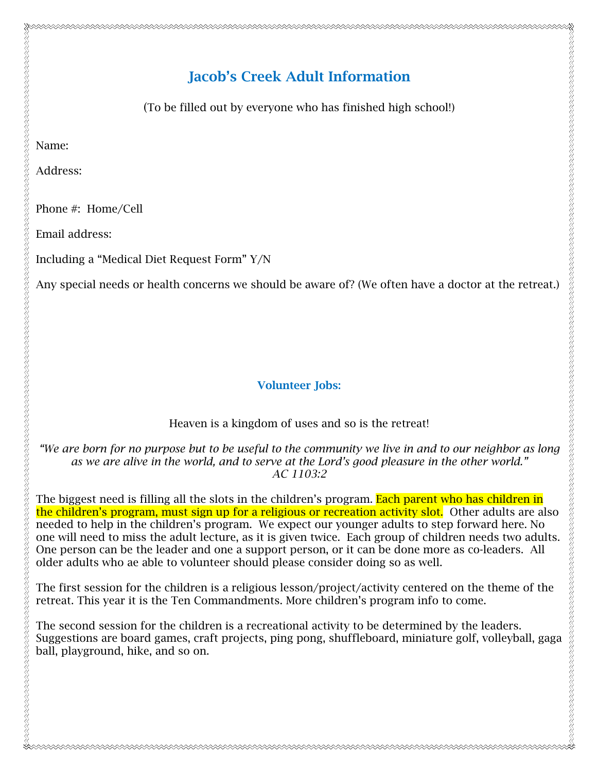(To be filled out by everyone who has finished high school!)

Name:

Address:

Phone #: Home/Cell

Email address:

Including a "Medical Diet Request Form" Y/N

Any special needs or health concerns we should be aware of? (We often have a doctor at the retreat.)

## Volunteer Jobs:

## Heaven is a kingdom of uses and so is the retreat!

*"We are born for no purpose but to be useful to the community we live in and to our neighbor as long as we are alive in the world, and to serve at the Lord's good pleasure in the other world." AC 1103:2*

The biggest need is filling all the slots in the children's program. Each parent who has children in the children's program, must sign up for a religious or recreation activity slot. Other adults are also needed to help in the children's program. We expect our younger adults to step forward here. No one will need to miss the adult lecture, as it is given twice. Each group of children needs two adults. One person can be the leader and one a support person, or it can be done more as co-leaders. All older adults who ae able to volunteer should please consider doing so as well.

The first session for the children is a religious lesson/project/activity centered on the theme of the retreat. This year it is the Ten Commandments. More children's program info to come.

The second session for the children is a recreational activity to be determined by the leaders. Suggestions are board games, craft projects, ping pong, shuffleboard, miniature golf, volleyball, gaga ball, playground, hike, and so on.